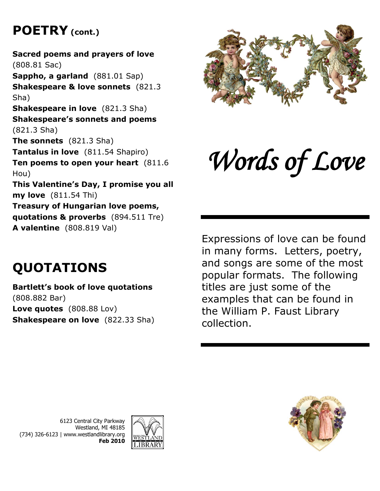# **POETRY (cont.)**

**Sacred poems and prayers of love** (808.81 Sac) **Sappho, a garland** (881.01 Sap) **Shakespeare & love sonnets** (821.3 Sha) **Shakespeare in love** (821.3 Sha) **Shakespeare's sonnets and poems** (821.3 Sha) **The sonnets** (821.3 Sha) **Tantalus in love** (811.54 Shapiro) **Ten poems to open your heart** (811.6 Hou) **This Valentine's Day, I promise you all my love** (811.54 Thi) **Treasury of Hungarian love poems, quotations & proverbs** (894.511 Tre) **A valentine** (808.819 Val)

# **QUOTATIONS**

#### **Bartlett's book of love quotations** (808.882 Bar) **Love quotes** (808.88 Lov) **Shakespeare on love** (822.33 Sha)



# *Words of Love*

Expressions of love can be found in many forms. Letters, poetry, and songs are some of the most popular formats. The following titles are just some of the examples that can be found in the William P. Faust Library collection.





6123 Central City Parkway Westland, MI 48185 (734) 326-6123 | www.westlandlibrary.org **Feb 2010**